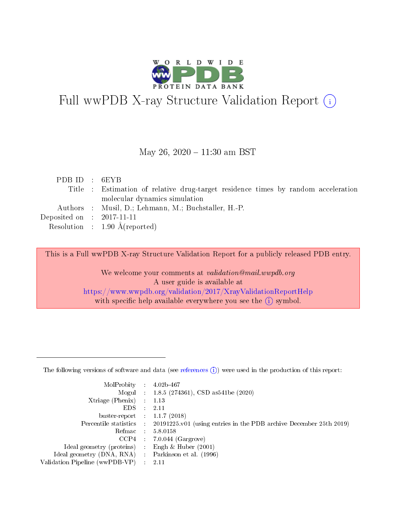

# Full wwPDB X-ray Structure Validation Report (i)

#### May 26,  $2020 - 11:30$  am BST

| PDBID : 6EYB                |                                                                                   |
|-----------------------------|-----------------------------------------------------------------------------------|
|                             | Title : Estimation of relative drug-target residence times by random acceleration |
|                             | molecular dynamics simulation                                                     |
|                             | Authors : Musil, D.; Lehmann, M.; Buchstaller, H.-P.                              |
| Deposited on : $2017-11-11$ |                                                                                   |
|                             | Resolution : $1.90 \text{ Å}$ (reported)                                          |

This is a Full wwPDB X-ray Structure Validation Report for a publicly released PDB entry.

We welcome your comments at validation@mail.wwpdb.org A user guide is available at <https://www.wwpdb.org/validation/2017/XrayValidationReportHelp> with specific help available everywhere you see the  $(i)$  symbol.

The following versions of software and data (see [references](https://www.wwpdb.org/validation/2017/XrayValidationReportHelp#references)  $(1)$ ) were used in the production of this report:

| MolProbity                     | $\mathcal{L}_{\rm{max}}$ | $4.02b - 467$                                                                |
|--------------------------------|--------------------------|------------------------------------------------------------------------------|
|                                |                          | Mogul : $1.8.5$ (274361), CSD as 541be (2020)                                |
| $X$ triage (Phenix) :          |                          | 1.13                                                                         |
| EDS.                           |                          | 2.11                                                                         |
| buster-report : $1.1.7$ (2018) |                          |                                                                              |
| Percentile statistics :        |                          | $20191225 \text{ v}01$ (using entries in the PDB archive December 25th 2019) |
| Refmac                         |                          | 5.8.0158                                                                     |
| $CCP4$ :                       |                          | $7.0.044$ (Gargrove)                                                         |
| Ideal geometry (proteins) :    |                          | Engh $\&$ Huber (2001)                                                       |
| Ideal geometry (DNA, RNA) :    |                          | Parkinson et al. (1996)                                                      |
| Validation Pipeline (wwPDB-VP) | $\mathcal{L}$            | -2.11                                                                        |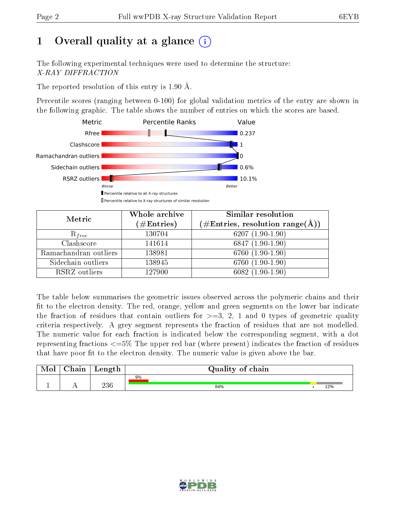# 1 [O](https://www.wwpdb.org/validation/2017/XrayValidationReportHelp#overall_quality)verall quality at a glance  $(i)$

The following experimental techniques were used to determine the structure: X-RAY DIFFRACTION

The reported resolution of this entry is 1.90 Å.

Percentile scores (ranging between 0-100) for global validation metrics of the entry are shown in the following graphic. The table shows the number of entries on which the scores are based.



| Metric                | Whole archive<br>$(\#\text{Entries})$ | Similar resolution<br>$(\#\text{Entries}, \text{resolution range}(\text{\AA}))$ |  |  |
|-----------------------|---------------------------------------|---------------------------------------------------------------------------------|--|--|
| $R_{free}$            | 130704                                | $6207(1.90-1.90)$                                                               |  |  |
| Clashscore            | 141614                                | $6847(1.90-1.90)$                                                               |  |  |
| Ramachandran outliers | 138981                                | $6760(1.90-1.90)$                                                               |  |  |
| Sidechain outliers    | 138945                                | $6760(1.90-1.90)$                                                               |  |  |
| RSRZ outliers         | 127900                                | $6082(1.90-1.90)$                                                               |  |  |

The table below summarises the geometric issues observed across the polymeric chains and their fit to the electron density. The red, orange, yellow and green segments on the lower bar indicate the fraction of residues that contain outliers for  $>=3, 2, 1$  and 0 types of geometric quality criteria respectively. A grey segment represents the fraction of residues that are not modelled. The numeric value for each fraction is indicated below the corresponding segment, with a dot representing fractions  $\epsilon=5\%$  The upper red bar (where present) indicates the fraction of residues that have poor fit to the electron density. The numeric value is given above the bar.

| Mol | ${\rm Chain}$ | Length | Quality of chain |     |
|-----|---------------|--------|------------------|-----|
|     |               |        | 9%               |     |
|     |               | 236    | 84%              | 12% |

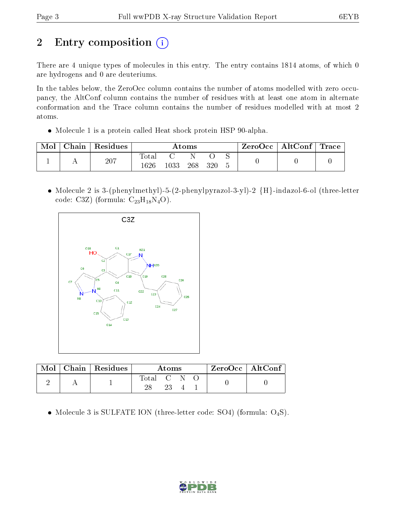# 2 Entry composition (i)

There are 4 unique types of molecules in this entry. The entry contains 1814 atoms, of which 0 are hydrogens and 0 are deuteriums.

In the tables below, the ZeroOcc column contains the number of atoms modelled with zero occupancy, the AltConf column contains the number of residues with at least one atom in alternate conformation and the Trace column contains the number of residues modelled with at most 2 atoms.

Molecule 1 is a protein called Heat shock protein HSP 90-alpha.

| Mol | Chain | <sup>'</sup> Residues | Atoms                |          |     | $\text{ZeroOcc} \mid \text{AltConf} \mid \text{Trace}$ |  |  |  |
|-----|-------|-----------------------|----------------------|----------|-----|--------------------------------------------------------|--|--|--|
|     |       | 207                   | <b>Total</b><br>1626 | $1033\,$ | 268 | 320                                                    |  |  |  |
|     |       |                       |                      |          |     |                                                        |  |  |  |

• Molecule 2 is 3-(phenylmethyl)-5-(2-phenylpyrazol-3-yl)-2  ${H}$ -indazol-6-ol (three-letter code: C3Z) (formula:  $C_{23}H_{18}N_4O$ ).



| Mol | $\mid$ Chain $\mid$ Residues | Atoms     |  |  | $ZeroOcc \mid AltConf$ |  |
|-----|------------------------------|-----------|--|--|------------------------|--|
|     |                              | Total C . |  |  |                        |  |

• Molecule 3 is SULFATE ION (three-letter code: SO4) (formula:  $O_4S$ ).

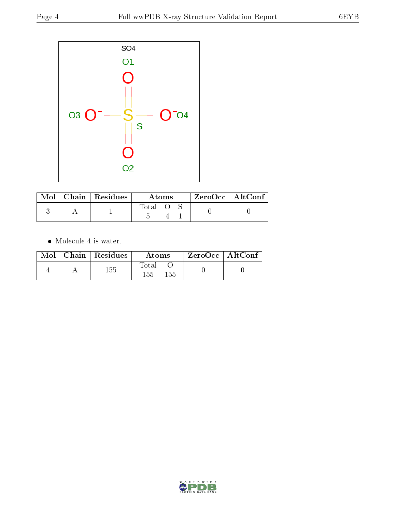

|  | Mol   Chain   Residues | Atoms |  |  | $ZeroOcc \mid AltConf$ |  |
|--|------------------------|-------|--|--|------------------------|--|
|  |                        | Total |  |  |                        |  |

 $\bullet\,$  Molecule 4 is water.

|  | $Mol$   Chain   Residues | Atoms               | $ZeroOcc \mid AltConf$ |  |
|--|--------------------------|---------------------|------------------------|--|
|  | 155                      | Total<br>155<br>155 |                        |  |

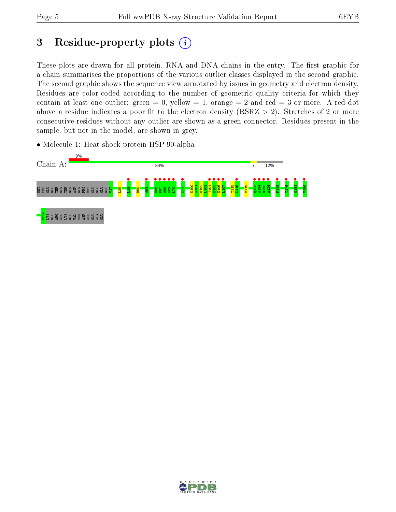# 3 Residue-property plots  $(i)$

These plots are drawn for all protein, RNA and DNA chains in the entry. The first graphic for a chain summarises the proportions of the various outlier classes displayed in the second graphic. The second graphic shows the sequence view annotated by issues in geometry and electron density. Residues are color-coded according to the number of geometric quality criteria for which they contain at least one outlier: green  $= 0$ , yellow  $= 1$ , orange  $= 2$  and red  $= 3$  or more. A red dot above a residue indicates a poor fit to the electron density (RSRZ  $> 2$ ). Stretches of 2 or more consecutive residues without any outlier are shown as a green connector. Residues present in the sample, but not in the model, are shown in grey.

• Molecule 1: Heat shock protein HSP 90-alpha



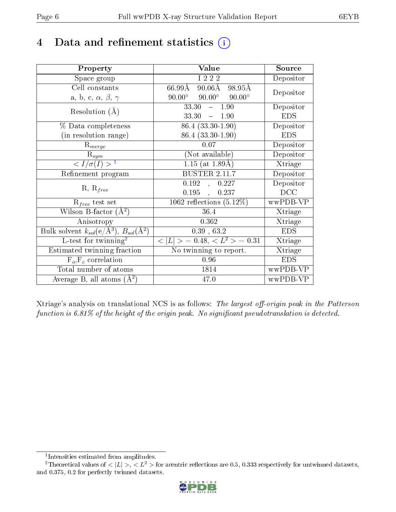## 4 Data and refinement statistics  $(i)$

| Property                                                         | Value                                             | Source     |
|------------------------------------------------------------------|---------------------------------------------------|------------|
| Space group                                                      | I 2 2 2                                           | Depositor  |
| Cell constants                                                   | $66.99\text{\AA}$<br>$90.06\text{\AA}$<br>98.95Å  | Depositor  |
| a, b, c, $\alpha$ , $\beta$ , $\gamma$                           | $90.00^\circ$<br>$90.00^\circ$<br>$90.00^{\circ}$ |            |
| Resolution $(A)$                                                 | 33.30<br>$-1.90$                                  | Depositor  |
|                                                                  | 33.30<br>$-1.90$                                  | <b>EDS</b> |
| $\%$ Data completeness                                           | $86.4(33.30-1.90)$                                | Depositor  |
| (in resolution range)                                            | 86.4 (33.30-1.90)                                 | <b>EDS</b> |
| $R_{merge}$                                                      | 0.07                                              | Depositor  |
| $\mathrm{R}_{sym}$                                               | (Not available)                                   | Depositor  |
| $\langle I/\sigma(I) \rangle^{-1}$                               | $1.15$ (at 1.89Å)                                 | Xtriage    |
| Refinement program                                               | <b>BUSTER 2.11.7</b>                              | Depositor  |
|                                                                  | 0.192, 0.227                                      | Depositor  |
| $R, R_{free}$                                                    | $0.195$ ,<br>0.237                                | DCC        |
| $R_{free}$ test set                                              | 1062 reflections $(5.12\%)$                       | wwPDB-VP   |
| Wilson B-factor $(A^2)$                                          | 36.4                                              | Xtriage    |
| Anisotropy                                                       | 0.362                                             | Xtriage    |
| Bulk solvent $k_{sol}(\text{e}/\text{A}^3), B_{sol}(\text{A}^2)$ | 0.39, 63.2                                        | <b>EDS</b> |
| $L$ -test for twinning <sup>2</sup>                              | $< L >$ = 0.48, $< L2 >$ = 0.31                   | Xtriage    |
| Estimated twinning fraction                                      | No twinning to report.                            | Xtriage    |
| $\overline{F_o}, \overline{F_c}$ correlation                     | 0.96                                              | <b>EDS</b> |
| Total number of atoms                                            | 1814                                              | wwPDB-VP   |
| Average B, all atoms $(A^2)$                                     | 47.0                                              | wwPDB-VP   |

Xtriage's analysis on translational NCS is as follows: The largest off-origin peak in the Patterson function is  $6.81\%$  of the height of the origin peak. No significant pseudotranslation is detected.

<sup>&</sup>lt;sup>2</sup>Theoretical values of  $\langle |L| \rangle$ ,  $\langle L^2 \rangle$  for acentric reflections are 0.5, 0.333 respectively for untwinned datasets, and 0.375, 0.2 for perfectly twinned datasets.



<span id="page-5-1"></span><span id="page-5-0"></span><sup>1</sup> Intensities estimated from amplitudes.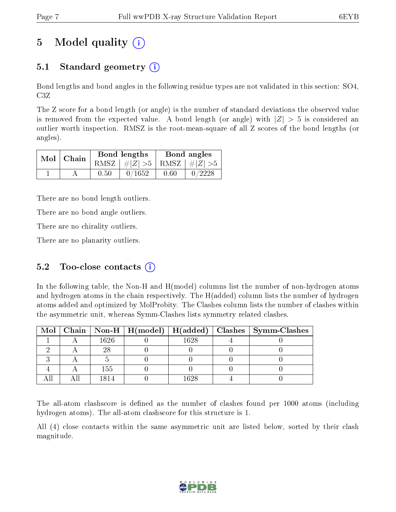# 5 Model quality  $(i)$

## 5.1 Standard geometry  $\overline{()}$

Bond lengths and bond angles in the following residue types are not validated in this section: SO4, C3Z

The Z score for a bond length (or angle) is the number of standard deviations the observed value is removed from the expected value. A bond length (or angle) with  $|Z| > 5$  is considered an outlier worth inspection. RMSZ is the root-mean-square of all Z scores of the bond lengths (or angles).

| $Mol$   Chain |      | Bond lengths                    | Bond angles |        |  |
|---------------|------|---------------------------------|-------------|--------|--|
|               |      | RMSZ $ #Z  > 5$ RMSZ $ #Z  > 5$ |             |        |  |
|               | 0.50 | 0/1652                          | 0.60        | 0/2228 |  |

There are no bond length outliers.

There are no bond angle outliers.

There are no chirality outliers.

There are no planarity outliers.

### 5.2 Too-close contacts  $(i)$

In the following table, the Non-H and H(model) columns list the number of non-hydrogen atoms and hydrogen atoms in the chain respectively. The H(added) column lists the number of hydrogen atoms added and optimized by MolProbity. The Clashes column lists the number of clashes within the asymmetric unit, whereas Symm-Clashes lists symmetry related clashes.

|  |      |      | Mol   Chain   Non-H   H(model)   H(added)   Clashes   Symm-Clashes |
|--|------|------|--------------------------------------------------------------------|
|  | 1626 | 1628 |                                                                    |
|  | 28   |      |                                                                    |
|  |      |      |                                                                    |
|  | 155  |      |                                                                    |
|  |      | 1628 |                                                                    |

The all-atom clashscore is defined as the number of clashes found per 1000 atoms (including hydrogen atoms). The all-atom clashscore for this structure is 1.

All (4) close contacts within the same asymmetric unit are listed below, sorted by their clash magnitude.

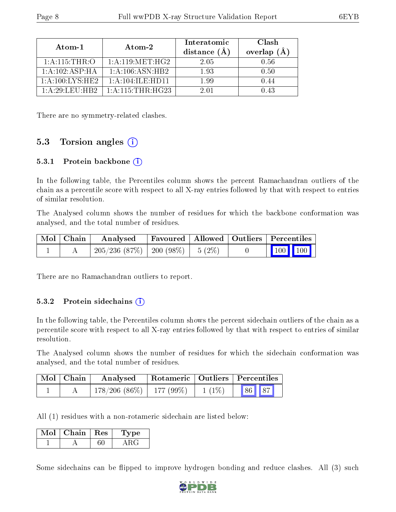| Atom-1                    | Atom-2                                      | Interatomic<br>distance (A | Clash<br>overlap $(A)$ |
|---------------------------|---------------------------------------------|----------------------------|------------------------|
| 1: A:115:THR:O            | 1: A:119:MET:HG2                            | 2 05                       | 0.56                   |
| 1: A: 102: ASP: HA        | 1: A:106: ASN:HB2                           | 193                        | 0.50                   |
| 1: A:100:IXS:HE2          | 1: A: 104: ILE: HDI1                        | 1.99                       | (1.44)                 |
| 1: A: 29: L. F. U: H. B.2 | $1 \cdot A \cdot 115 \cdot THR \cdot HG$ 23 | 2.01                       | 1.43                   |

There are no symmetry-related clashes.

### 5.3 Torsion angles  $(i)$

#### 5.3.1 Protein backbone  $(i)$

In the following table, the Percentiles column shows the percent Ramachandran outliers of the chain as a percentile score with respect to all X-ray entries followed by that with respect to entries of similar resolution.

The Analysed column shows the number of residues for which the backbone conformation was analysed, and the total number of residues.

| Mol   Chain | Analysed                                | Favoured   Allowed   Outliers   Percentiles |  |                                                            |
|-------------|-----------------------------------------|---------------------------------------------|--|------------------------------------------------------------|
|             | $205/236$ (87\%)   200 (98\%)   5 (2\%) |                                             |  | $\begin{array}{ c c c c }\n\hline\n100 & 100\n\end{array}$ |

There are no Ramachandran outliers to report.

#### 5.3.2 Protein sidechains (i)

In the following table, the Percentiles column shows the percent sidechain outliers of the chain as a percentile score with respect to all X-ray entries followed by that with respect to entries of similar resolution.

The Analysed column shows the number of residues for which the sidechain conformation was analysed, and the total number of residues.

| Mol   Chain | Analysed                      | Rotameric   Outliers   Percentiles |          |       |  |
|-------------|-------------------------------|------------------------------------|----------|-------|--|
|             | $178/206$ (86\%)   177 (99\%) |                                    | $1(1\%)$ | 86 87 |  |

All (1) residues with a non-rotameric sidechain are listed below:

| Mol | Chain   Res | 1 ype |
|-----|-------------|-------|
|     |             |       |

Some sidechains can be flipped to improve hydrogen bonding and reduce clashes. All (3) such

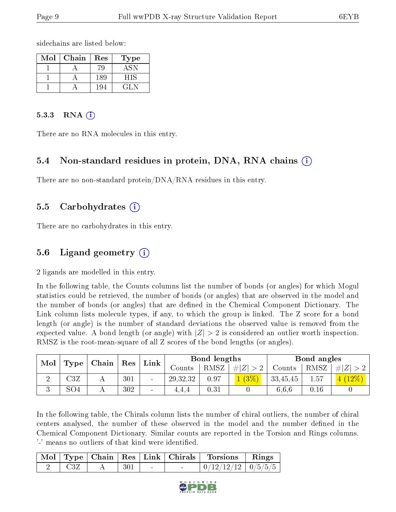sidechains are listed below:

| $\operatorname{Mol}$ | Chain | Res | 'ype |
|----------------------|-------|-----|------|
|                      |       |     |      |
|                      |       | 189 |      |
|                      |       | -94 |      |

#### $5.3.3$  RNA  $(i)$

There are no RNA molecules in this entry.

#### 5.4 Non-standard residues in protein, DNA, RNA chains (i)

There are no non-standard protein/DNA/RNA residues in this entry.

### 5.5 Carbohydrates (i)

There are no carbohydrates in this entry.

### 5.6 Ligand geometry  $(i)$

2 ligands are modelled in this entry.

In the following table, the Counts columns list the number of bonds (or angles) for which Mogul statistics could be retrieved, the number of bonds (or angles) that are observed in the model and the number of bonds (or angles) that are defined in the Chemical Component Dictionary. The Link column lists molecule types, if any, to which the group is linked. The Z score for a bond length (or angle) is the number of standard deviations the observed value is removed from the expected value. A bond length (or angle) with  $|Z| > 2$  is considered an outlier worth inspection. RMSZ is the root-mean-square of all Z scores of the bond lengths (or angles).

| Mol |                 | Chain | ${\rm Res}$ | Link                     |            | Bond lengths |         |          | Bond angles |         |
|-----|-----------------|-------|-------------|--------------------------|------------|--------------|---------|----------|-------------|---------|
|     | Type            |       |             |                          | Counts-    | RMSZ         | $\# Z $ | Counts   | RMSZ        | H Z     |
|     | $\rm{C3}Z$      |       | 301         | $\blacksquare$           | 29, 32, 32 | 0.97         | $(3\%)$ | 33,45,45 | 1.57        | $12\%)$ |
|     | SO <sub>4</sub> |       | 302         | $\overline{\phantom{a}}$ | 4.4.4      | 0.31         |         | 6.6.6    | 0.16        |         |

In the following table, the Chirals column lists the number of chiral outliers, the number of chiral centers analysed, the number of these observed in the model and the number defined in the Chemical Component Dictionary. Similar counts are reported in the Torsion and Rings columns. '-' means no outliers of that kind were identified.

|  |     |        |        | Mol   Type   Chain   Res   Link   Chirals   Torsions   Rings |  |
|--|-----|--------|--------|--------------------------------------------------------------|--|
|  | 301 | $\sim$ | $\sim$ | $\boxed{0/12/12/12}$ $\boxed{0/5/5/5}$                       |  |

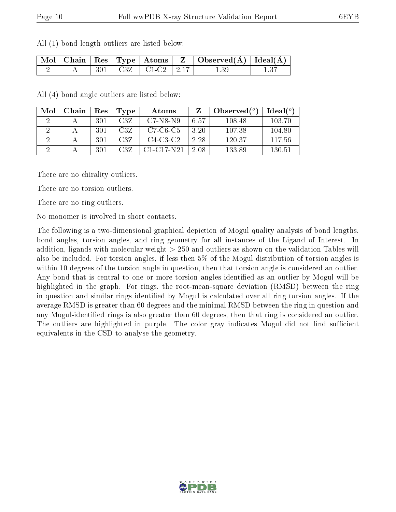|  |  |  | $\begin{array}{ c c c c c }\hline \text{Mol} & \text{Chain} & \text{Res} & \text{Type} & \text{Atoms} & \text{Z} & \text{Observed(A)} & \text{Ideal(A)} \\\hline \end{array}$ |  |
|--|--|--|-------------------------------------------------------------------------------------------------------------------------------------------------------------------------------|--|

2 | A | 301 | C3Z | C1-C2 | 2.17 | 1.39 | 1.37

All (4) bond angle outliers are listed below:

All (1) bond length outliers are listed below:

| Mol | Chain | $\operatorname{Res}% \left( \mathcal{N}\right) \equiv\operatorname{Res}(\mathcal{N}_{0},\mathcal{N}_{0})$ | Type | Atoms        | Z    | Observed $(°)$ | Ideal (°) |
|-----|-------|-----------------------------------------------------------------------------------------------------------|------|--------------|------|----------------|-----------|
|     |       | 301                                                                                                       | C3Z  | $C7-N8-N9$   | 6.57 | 108.48         | 103.70    |
|     |       | 301                                                                                                       | C3Z  | $C7-C6-C5$   | 3.20 | 107.38         | 104.80    |
|     |       | 301                                                                                                       | C3Z  | $C4-C3-C2$   | 2.28 | 120.37         | 117.56    |
|     |       | 301                                                                                                       | C3Z  | $C1-C17-N21$ | 2.08 | 133.89         | 130.51    |

There are no chirality outliers.

There are no torsion outliers.

There are no ring outliers.

No monomer is involved in short contacts.

The following is a two-dimensional graphical depiction of Mogul quality analysis of bond lengths, bond angles, torsion angles, and ring geometry for all instances of the Ligand of Interest. In addition, ligands with molecular weight > 250 and outliers as shown on the validation Tables will also be included. For torsion angles, if less then 5% of the Mogul distribution of torsion angles is within 10 degrees of the torsion angle in question, then that torsion angle is considered an outlier. Any bond that is central to one or more torsion angles identified as an outlier by Mogul will be highlighted in the graph. For rings, the root-mean-square deviation (RMSD) between the ring in question and similar rings identified by Mogul is calculated over all ring torsion angles. If the average RMSD is greater than 60 degrees and the minimal RMSD between the ring in question and any Mogul-identified rings is also greater than 60 degrees, then that ring is considered an outlier. The outliers are highlighted in purple. The color gray indicates Mogul did not find sufficient equivalents in the CSD to analyse the geometry.

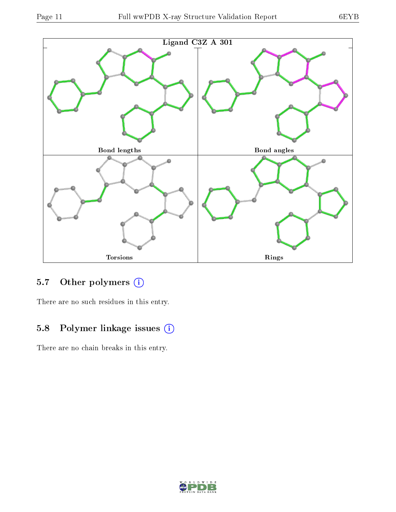

### 5.7 [O](https://www.wwpdb.org/validation/2017/XrayValidationReportHelp#nonstandard_residues_and_ligands)ther polymers (i)

There are no such residues in this entry.

### 5.8 Polymer linkage issues (i)

There are no chain breaks in this entry.

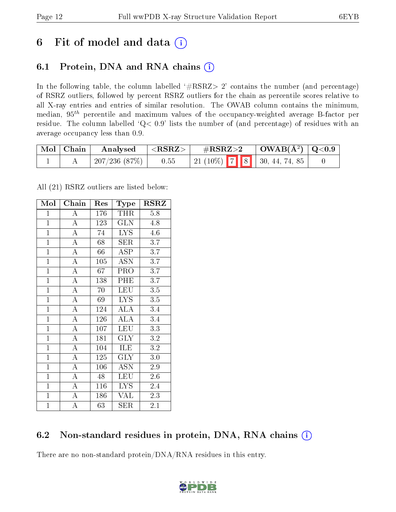## 6 Fit of model and data  $(i)$

## 6.1 Protein, DNA and RNA chains  $(i)$

In the following table, the column labelled  $#RSRZ> 2'$  contains the number (and percentage) of RSRZ outliers, followed by percent RSRZ outliers for the chain as percentile scores relative to all X-ray entries and entries of similar resolution. The OWAB column contains the minimum, median,  $95<sup>th</sup>$  percentile and maximum values of the occupancy-weighted average B-factor per residue. The column labelled ' $Q< 0.9$ ' lists the number of (and percentage) of residues with an average occupancy less than 0.9.

| $\mid$ Mol $\mid$ Chain | Analysed       | ${ <\hspace{-1.5pt}{\mathrm{RSRZ}} \hspace{-1.5pt}>}$ | $\rm \#RSRZ{>}2$                  | $\vert$ OWAB( $\rm{\AA}^2$ ) $\vert$ Q<0.9 |  |
|-------------------------|----------------|-------------------------------------------------------|-----------------------------------|--------------------------------------------|--|
|                         | 207/236 (87\%) | 0.55                                                  | 21 (10%)   7   8   30, 44, 74, 85 |                                            |  |

All (21) RSRZ outliers are listed below:

| Mol            | $Chai\overline{n}$ | Res | <b>Type</b>             | RSRZ             |
|----------------|--------------------|-----|-------------------------|------------------|
| $\mathbf{1}$   | $\boldsymbol{A}$   | 176 | <b>THR</b>              | 5.8              |
| $\overline{1}$ | $\overline{A}$     | 123 | $\overline{\text{GLN}}$ | 4.8              |
| $\overline{1}$ | $\overline{\rm A}$ | 74  | <b>LYS</b>              | 4.6              |
| $\mathbf{1}$   | $\overline{A}$     | 68  | <b>SER</b>              | 3.7              |
| $\overline{1}$ | $\overline{\rm A}$ | 66  | $\overline{\rm ASP}$    | $\overline{3.7}$ |
| $\overline{1}$ | $\overline{\rm A}$ | 105 | ASN                     | 3.7              |
| $\mathbf{1}$   | $\overline{\rm A}$ | 67  | PRO                     | 3.7              |
| $\mathbf{1}$   | $\overline{\rm A}$ | 138 | PHE                     | 3.7              |
| $\overline{1}$ | $\overline{A}$     | 70  | <b>LEU</b>              | 3.5              |
| $\mathbf{1}$   | $\overline{\rm A}$ | 69  | $\overline{\text{LYS}}$ | $\overline{3.5}$ |
| $\mathbf{1}$   | $\overline{\rm A}$ | 124 | <b>ALA</b>              | 3.4              |
| $\mathbf{1}$   | $\overline{\rm A}$ | 126 | $\rm ALA$               | 3.4              |
| $\overline{1}$ | $\overline{\rm A}$ | 107 | LEU                     | 3.3              |
| $\overline{1}$ | $\overline{\rm A}$ | 181 | <b>GLY</b>              | 3.2              |
| $\mathbf{1}$   | $\overline{\rm A}$ | 104 | ILE                     | 3.2              |
| $\overline{1}$ | $\overline{A}$     | 125 | <b>GLY</b>              | 3.0              |
| $\overline{1}$ | $\overline{A}$     | 106 | $\overline{\text{ASN}}$ | 2.9              |
| $\mathbf{1}$   | $\overline{\rm A}$ | 48  | LEU                     | 2.6              |
| $\overline{1}$ | $\overline{\rm A}$ | 116 | <b>LYS</b>              | 2.4              |
| $\overline{1}$ | $\overline{\rm A}$ | 186 | <b>VAL</b>              | 2.3              |
| $\mathbf{1}$   | A                  | 63  | SER                     | 2.1              |

### 6.2 Non-standard residues in protein, DNA, RNA chains (i)

There are no non-standard protein/DNA/RNA residues in this entry.

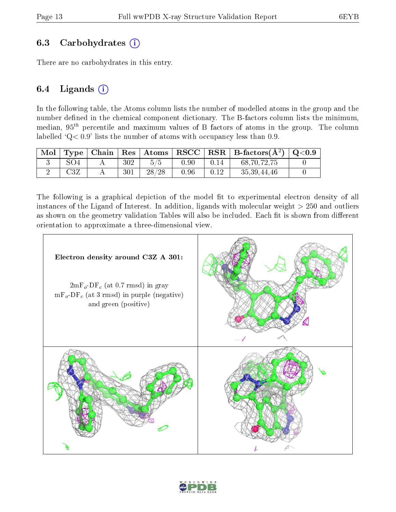#### 6.3 Carbohydrates (i)

There are no carbohydrates in this entry.

### 6.4 Ligands  $(i)$

In the following table, the Atoms column lists the number of modelled atoms in the group and the number defined in the chemical component dictionary. The B-factors column lists the minimum, median,  $95<sup>th</sup>$  percentile and maximum values of B factors of atoms in the group. The column labelled  $Q < 0.9$ ' lists the number of atoms with occupancy less than 0.9.

| $\mid$ Mol |     |     | $\top$ ype   Chain   Res   Atoms |      |      | $\mid \text{RSCC} \mid \text{RSR} \mid \text{B-factors}(\AA^2) \mid \text{Q}<0.9$ |  |
|------------|-----|-----|----------------------------------|------|------|-----------------------------------------------------------------------------------|--|
|            | SO4 | 302 | 5/5                              | 0.90 | 0.14 | 68,70,72,75                                                                       |  |
|            | C3Z | 301 | 28/28                            | 0.96 | 0.12 | 35, 39, 44, 46                                                                    |  |

The following is a graphical depiction of the model fit to experimental electron density of all instances of the Ligand of Interest. In addition, ligands with molecular weight  $> 250$  and outliers as shown on the geometry validation Tables will also be included. Each fit is shown from different orientation to approximate a three-dimensional view.